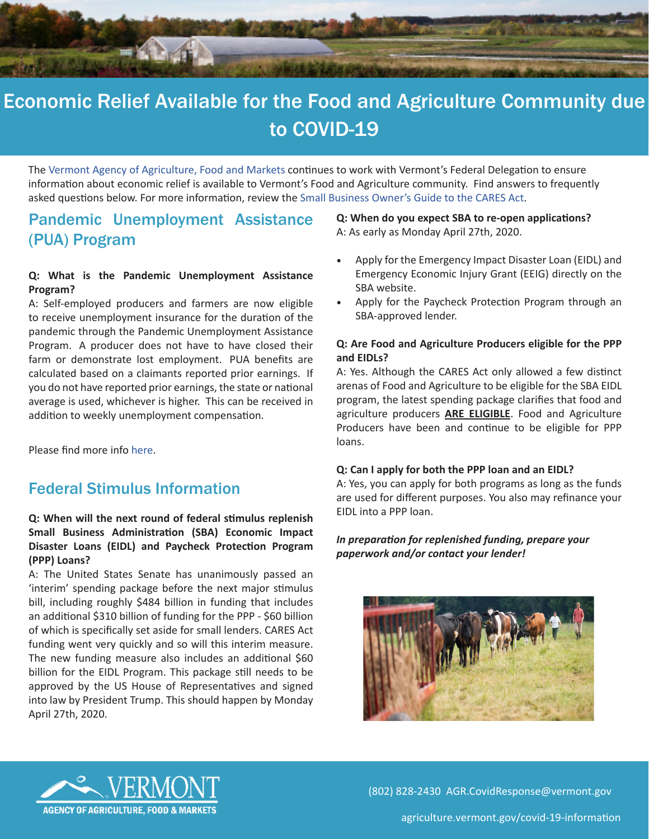

## Economic Relief Available for the Food and Agriculture Community due to COVID-19

The [Vermont Agency of Agriculture, Food and Markets](https://agriculture.vermont.gov/) continues to work with Vermont's Federal Delegation to ensure information about economic relief is available to Vermont's Food and Agriculture community. Find answers to frequently asked questions below. For more information, review the [Small Business Owner's Guide to the CARES Act](https://www.sbc.senate.gov/public/_cache/files/9/7/97ac840c-28b7-4e49-b872-d30a995d8dae/F2CF1DD78E6D6C8C8C3BF58C6D1DDB2B.small-business-owner-s-guide-to-the-cares-act-final-.pdf).

## Pandemic Unemployment Assistance (PUA) Program

#### **Q: What is the Pandemic Unemployment Assistance Program?**

A: Self-employed producers and farmers are now eligible to receive unemployment insurance for the duration of the pandemic through the Pandemic Unemployment Assistance Program.  A producer does not have to have closed their farm or demonstrate lost employment.  PUA benefits are calculated based on a claimants reported prior earnings.  If you do not have reported prior earnings, the state or national average is used, whichever is higher.  This can be received in addition to weekly unemployment compensation.

Please find more info [here](https://labor.vermont.gov/PUA_Eligibility).

### Federal Stimulus Information

#### **Q: When will the next round of federal stimulus replenish Small Business Administration (SBA) Economic Impact Disaster Loans (EIDL) and Paycheck Protection Program (PPP) Loans?**

A: The United States Senate has unanimously passed an 'interim' spending package before the next major stimulus bill, including roughly \$484 billion in funding that includes an additional \$310 billion of funding for the PPP - \$60 billion of which is specifically set aside for small lenders. CARES Act funding went very quickly and so will this interim measure. The new funding measure also includes an additional \$60 billion for the EIDL Program. This package still needs to be approved by the US House of Representatives and signed into law by President Trump. This should happen by Monday April 27th, 2020.

#### **Q: When do you expect SBA to re-open applications?**  A: As early as Monday April 27th, 2020.

- Apply for the Emergency Impact Disaster Loan (EIDL) and Emergency Economic Injury Grant (EEIG) directly on the SBA website.
- Apply for the Paycheck Protection Program through an SBA-approved lender.

#### **Q: Are Food and Agriculture Producers eligible for the PPP and EIDLs?**

A: Yes. Although the CARES Act only allowed a few distinct arenas of Food and Agriculture to be eligible for the SBA EIDL program, the latest spending package clarifies that food and agriculture producers **ARE ELIGIBLE**. Food and Agriculture Producers have been and continue to be eligible for PPP loans.

#### **Q: Can I apply for both the PPP loan and an EIDL?**

A: Yes, you can apply for both programs as long as the funds are used for different purposes. You also may refinance your EIDL into a PPP loan.

#### *In preparation for replenished funding, prepare your paperwork and/or contact your lender!*





(802) 828-2430 [AGR.CovidResponse@vermont.gov](mailto:agr.COVIDresponse%40vermont.gov?subject=)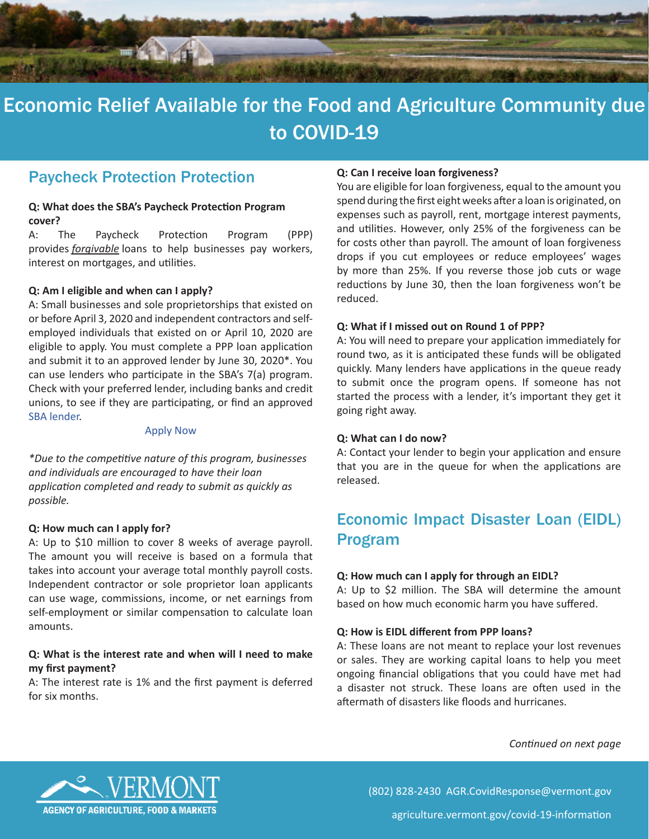

# Economic Relief Available for the Food and Agriculture Community due to COVID-19

### Paycheck Protection Protection

#### **Q: What does the SBA's Paycheck Protection Program cover?**

A: The Paycheck Protection Program (PPP) provides *forgivable* loans to help businesses pay workers, interest on mortgages, and utilities.

#### **Q: Am I eligible and when can I apply?**

A: Small businesses and sole proprietorships that existed on or before April 3, 2020 and independent contractors and selfemployed individuals that existed on or April 10, 2020 are eligible to apply. You must complete a PPP loan application and submit it to an approved lender by June 30, 2020\*. You can use lenders who participate in the SBA's 7(a) program. Check with your preferred lender, including banks and credit unions, to see if they are participating, or find an approved [SBA lender](https://www.sba.gov/paycheckprotection/find).

#### [Apply Now](https://www.sba.gov/funding-programs/loans/coronavirus-relief-options/paycheck-protection-program)

*\*Due to the competitive nature of this program, businesses and individuals are encouraged to have their loan application completed and ready to submit as quickly as possible.* 

#### **Q: How much can I apply for?**

A: Up to \$10 million to cover 8 weeks of average payroll. The amount you will receive is based on a formula that takes into account your average total monthly payroll costs. Independent contractor or sole proprietor loan applicants can use wage, commissions, income, or net earnings from self-employment or similar compensation to calculate loan amounts. 

#### **Q: What is the interest rate and when will I need to make my first payment?**

A: The interest rate is 1% and the first payment is deferred for six months.

#### **Q: Can I receive loan forgiveness?**

You are eligible for loan forgiveness, equal to the amount you spend during the first eight weeks after a loan is originated, on expenses such as payroll, rent, mortgage interest payments, and utilities. However, only 25% of the forgiveness can be for costs other than payroll. The amount of loan forgiveness drops if you cut employees or reduce employees' wages by more than 25%. If you reverse those job cuts or wage reductions by June 30, then the loan forgiveness won't be reduced.

#### **Q: What if I missed out on Round 1 of PPP?**

A: You will need to prepare your application immediately for round two, as it is anticipated these funds will be obligated quickly. Many lenders have applications in the queue ready to submit once the program opens. If someone has not started the process with a lender, it's important they get it going right away.

#### **Q: What can I do now?**

A: Contact your lender to begin your application and ensure that you are in the queue for when the applications are released.

## Economic Impact Disaster Loan (EIDL) Program

#### **Q: How much can I apply for through an EIDL?**

A: Up to \$2 million. The SBA will determine the amount based on how much economic harm you have suffered.

#### **Q: How is EIDL different from PPP loans?**

A: These loans are not meant to replace your lost revenues or sales. They are working capital loans to help you meet ongoing financial obligations that you could have met had a disaster not struck. These loans are often used in the aftermath of disasters like floods and hurricanes. 

*Continued on next page*



(802) 828-2430 [AGR.CovidResponse@vermont.gov](mailto:AGR.CovidResponse%40vermont.gov?subject=)

[agriculture.vermont.gov/covid-19-information](http://agriculture.vermont.gov/covid-19-information)